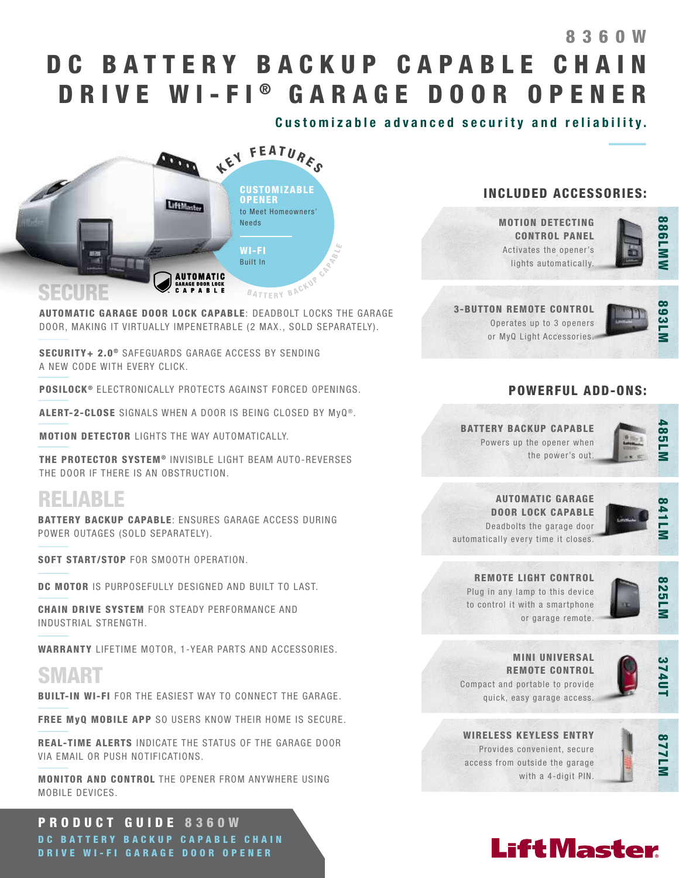# DC BATTERY BACKUP CAPABLE CHAIN DRIVE WI-FI® GARAGE DOOR OPENER 8360W

Customizable advanced security and reliability.



AUTOMATIC GARAGE DOOR LOCK CAPABLE: DEADBOLT LOCKS THE GARAGE DOOR, MAKING IT VIRTUALLY IMPENETRABLE (2 MAX., SOLD SEPARATELY).

SECURITY+ 2.0<sup>®</sup> SAFEGUARDS GARAGE ACCESS BY SENDING A NEW CODE WITH EVERY CLICK.

POSILOCK<sup>®</sup> ELECTRONICALLY PROTECTS AGAINST FORCED OPENINGS.

ALERT-2-CLOSE SIGNALS WHEN A DOOR IS BEING CLOSED BY MVQ<sup>®</sup>.

MOTION DETECTOR LIGHTS THE WAY AUTOMATICALLY.

THE PROTECTOR SYSTEM<sup>®</sup> INVISIBLE LIGHT BEAM AUTO-REVERSES THE DOOR IF THERE IS AN OBSTRUCTION.

## RELIABLE

j

BATTERY BACKUP CAPABLE: ENSURES GARAGE ACCESS DURING POWER OUTAGES (SOLD SEPARATELY).

SOFT START/STOP FOR SMOOTH OPERATION.

DC MOTOR IS PURPOSEFULLY DESIGNED AND BUILT TO LAST.

CHAIN DRIVE SYSTEM FOR STEADY PERFORMANCE AND INDUSTRIAL STRENGTH.

WARRANTY LIFETIME MOTOR, 1-YEAR PARTS AND ACCESSORIES.

## SMART

BUILT-IN WI-FI FOR THE EASIEST WAY TO CONNECT THE GARAGE.

FREE MyQ MOBILE APP SO USERS KNOW THEIR HOME IS SECURE.

REAL-TIME ALERTS INDICATE THE STATUS OF THE GARAGE DOOR VIA EMAIL OR PUSH NOTIFICATIONS.

MONITOR AND CONTROL THE OPENER FROM ANYWHERE USING MOBILE DEVICES.

PRODUCT GUIDE 8360W DC BATTERY BACKUP CAPABLE CHAIN DRIVE WI-FI GARAGE DOOR OPENER

#### INCLUDED ACCESSORIES:

MOTION DETECTING CONTROL PANEL Activates the opener's lights automatically.



3-BUTTON REMOTE CONTROL Operates up to 3 openers or MyQ Light Accessories.



#### POWERFUL ADD-ONS:

#### BATTERY BACKUP CAPABLE Powers up the opener when the power's out.



AUTOMATIC GARAGE DOOR LOCK CAPABLE Deadbolts the garage door

automatically every time it closes.



825LM

REMOTE LIGHT CONTROL



Plug in any lamp to this device to control it with a smartphone or garage remote.



MINI UNIVERSAL REMOTE CONTROL Compact and portable to provide quick, easy garage access.



WIRELESS KEYLESS ENTRY Provides convenient, secure access from outside the garage with a 4-digit PIN.